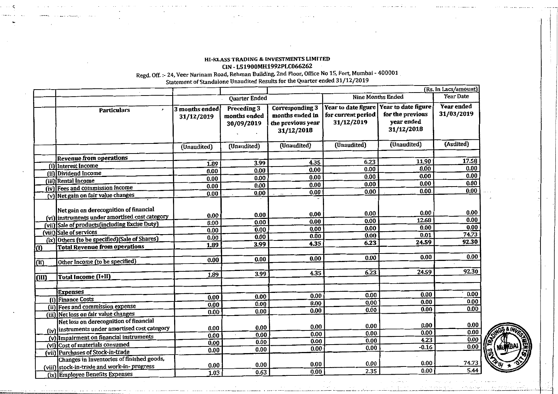## **HI-KLASS TRADING & INVESTMENTS LIMITED CIN** - **L51900MH1992PLC066262**

**Regd. Off.** :- **24, Veer Narinam Road, Rehman Building. 2nd** Floor. **Office No** 15, Fort **Mumbai** - **400001** 

|                 |                                                                                                                                                                                                                                                                                                   |                                              |                                              | (Rs. In Lacs/amount)                                                         |                                                         |                                                                     |                                                |
|-----------------|---------------------------------------------------------------------------------------------------------------------------------------------------------------------------------------------------------------------------------------------------------------------------------------------------|----------------------------------------------|----------------------------------------------|------------------------------------------------------------------------------|---------------------------------------------------------|---------------------------------------------------------------------|------------------------------------------------|
|                 |                                                                                                                                                                                                                                                                                                   | <b>Quarter Ended</b>                         |                                              | <b>Nine Months Ended</b>                                                     |                                                         | <b>Year Date</b>                                                    |                                                |
|                 | <b>Particulars</b><br>$\mathbf{r}$                                                                                                                                                                                                                                                                | 3 months ended<br>31/12/2019                 | Preceding 3<br>months ended<br>30/09/2019    | <b>Corresponding 3</b><br>months ended in<br>the previous year<br>31/12/2018 | Year to date figure<br>for current period<br>31/12/2019 | Year to date figure<br>for the previous<br>year ended<br>31/12/2018 | Year ended<br>31/03/2019                       |
|                 |                                                                                                                                                                                                                                                                                                   | (Unaudited)                                  | (Unaudited)                                  | (Unaudited)                                                                  | (Unaudited)                                             | (Unaudited)                                                         | (Audited)                                      |
|                 | <b>Revenue from operations</b>                                                                                                                                                                                                                                                                    |                                              |                                              |                                                                              |                                                         |                                                                     |                                                |
|                 | fillnterest Income                                                                                                                                                                                                                                                                                | 1.89                                         | 3.99                                         | 4.35                                                                         | 6.23                                                    | 11.90                                                               | 17.58                                          |
|                 | (ii) Dividend Income                                                                                                                                                                                                                                                                              | 0.00                                         | 0.00                                         | 0.00                                                                         | 0.00                                                    | 0.00                                                                | 0.00                                           |
|                 | (iii) Rental Income                                                                                                                                                                                                                                                                               | 0.00                                         | 0.00                                         | 0.00                                                                         | 0.00                                                    | 0.00                                                                | 0.00                                           |
|                 | (iv) Fees and commission income                                                                                                                                                                                                                                                                   | 0.00                                         | 0.00                                         | 0.00                                                                         | 0.00                                                    | 0.00                                                                | 0.00                                           |
|                 | (v) Net gain on fair value changes                                                                                                                                                                                                                                                                | 0.00                                         | 0.00                                         | 0.00                                                                         | 0.00                                                    | 0.00.                                                               | 0.00                                           |
| $\bf{0}$<br>(n) | Net gain on derecognition of financial<br>(vi) instruments under amortised cost category<br>(vii) Sale of products (including Excise Duty)<br>(viii) Sale of services<br>(ix) Others (to be specified) (Sale of Shares)<br><b>Total Revenue from operations</b><br>Other Income (to be specified) | 0.00<br>0.00<br>0.00<br>0.00<br>1.89<br>0.00 | 0.00<br>0.00<br>0.00<br>0.00<br>3.99<br>0.00 | 0.00<br>0.00<br>0.00<br>0.00<br>4.35<br>0.00                                 | 0.00<br>0.00<br>0.00<br>0.00<br>6.23<br>0.00            | 0.00<br>12.68<br>0.00<br>0.01<br>24.59<br>0.00                      | 0.00<br>0.00<br>0.00<br>74.73<br>92.30<br>0.00 |
| (III)           | Total Income (I+II)                                                                                                                                                                                                                                                                               | 1.89                                         | 3.99                                         | 4.35                                                                         | 6.23                                                    | 24.59                                                               | 92.30                                          |
|                 |                                                                                                                                                                                                                                                                                                   |                                              |                                              |                                                                              |                                                         |                                                                     |                                                |
|                 | <b>Expenses</b>                                                                                                                                                                                                                                                                                   |                                              |                                              |                                                                              |                                                         | 0.00                                                                | 0.00                                           |
| វ0              | <b>Finance Costs</b>                                                                                                                                                                                                                                                                              | 0.00                                         | 0.00                                         | 0.00                                                                         | 0.00                                                    | 0.00                                                                | 0.00                                           |
|                 | (ii) Fees and commission expense                                                                                                                                                                                                                                                                  | 0.00                                         | 0.00                                         | 0.00                                                                         | 0.00<br>0.00                                            | 0.00                                                                | 0.00                                           |
|                 | (iii) Net loss on fair value changes                                                                                                                                                                                                                                                              | 0.00                                         | 0.00                                         | 0.00                                                                         |                                                         |                                                                     |                                                |
|                 | Net loss on derecognition of financial<br>(iv) instruments under amortised cost category<br>(v) Impairment on financial instruments                                                                                                                                                               | 0.00<br>0.00<br>0.00                         | 0.00<br>0.00<br>0.00                         | 0.00<br>0.00<br>0.00                                                         | 0.00<br>0.00<br>0.00                                    | 0.00<br>0.00<br>4.23                                                | 0.00<br>0.00<br>0.00                           |
|                 | (vi) Cost of materials consumed                                                                                                                                                                                                                                                                   | 0.00                                         | 0.00                                         | $0.00 -$                                                                     | 0.00                                                    | $-0.16$                                                             | 0.00                                           |
|                 | (vii) Purchases of Stock-in-trade<br>Changes in Inventories of finished goods,<br>viii} stock-in-trade and work-in-progress<br>(ix) Employee Benefits Expenses                                                                                                                                    | 0.00<br>1.03                                 | 0.00<br>0.63                                 | 0.00<br>0.00                                                                 | 0.00<br>2.35                                            | 0.00<br>0.00                                                        | 74.73<br>5.44                                  |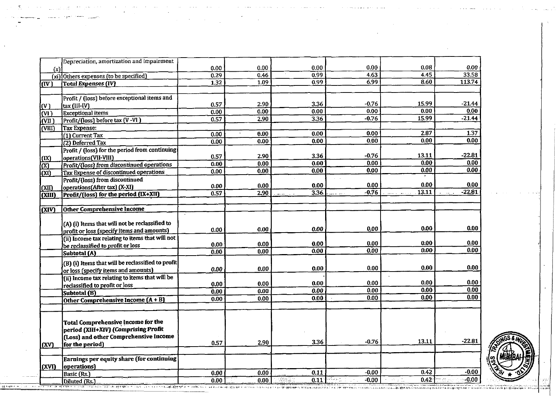|                                     | Depreciation, amortization and impairment         |                   |              |               |                        |                             |          |
|-------------------------------------|---------------------------------------------------|-------------------|--------------|---------------|------------------------|-----------------------------|----------|
| (x)                                 |                                                   | 0.00              | 0.00         | 0.00          | 0.00                   | 0.08                        | 0.00     |
|                                     | (xi) Others expenses (to be specified)            | 0.29              | 0.46         | 0.99          | 4.63                   | 445                         | 33.58    |
| ((IV)                               | Total Expenses (IV)                               | $\overline{1.32}$ | 1.09         | 0.99          | 6,99                   | $\overline{8.60}$           | 113.74   |
|                                     |                                                   |                   |              |               |                        |                             |          |
|                                     | Profit / (loss) before exceptional items and      |                   |              |               |                        |                             |          |
| l(V)                                | tax (III-IV)                                      | 0.57              | 2.90         | 3.36          | $-0.76$                | 15.99                       | $-21.44$ |
| $\overline{\text{M}}$               | <b>Exceptional</b> items                          | 0.00              | 0.00         | 0.00          | 0.00                   | 0.00                        | 0.00     |
| (VII)                               | Profit/(loss) before tax (V-VI)                   | 0.57              | 2.90         | 3.36          | $-0.76$                | 15.99                       | $-21.44$ |
| $\overline{\text{V}}$ III)          | Tax Expense:                                      |                   |              |               |                        |                             |          |
|                                     | (1) Current Tax                                   | 0.00              | 0.00         | 0.00          | 0.00                   | 2.87                        | 1.37     |
|                                     | (2) Deferred Tax                                  | 0.00              | 0.00         | 0.00          | 0.00                   | 0.00                        | 0.00     |
|                                     | Profit / (loss) for the period from continuing    |                   |              |               |                        |                             |          |
| (X)                                 | operations(VII-VIII)                              | 0.57              | 2.90         | 3.36          | $-0.76$                | 13.11                       | $-22.81$ |
| $\overline{\alpha}$                 | Profit/(loss) from discontinued operations        | 0.00              | 0.00         | 0.00          | 0.00                   | 0.00                        | 0.00     |
| (XI)                                | Tax Expense of discontinued operations            | 0.00              | 0.00         | 0.00          | 0.00                   | 0.00                        | 0.00     |
|                                     | Profit/(loss) from discontinued                   |                   |              |               |                        |                             |          |
| (XII)                               | operations(After tax) (X-XI)                      | 0.00              | 0.00         | 0.00          | 0.00                   | 0.00                        | 0.00     |
| <b>CXIII</b>                        | Profit/(loss) for the period (IX+XII)             | 0.57              | 2.90         | 3.36<br>2.224 | $-0.76$<br>المعارضات   | 13.11                       | $-22.81$ |
|                                     |                                                   |                   |              |               |                        |                             |          |
| $\overline{(\text{XIV})}$           | <b>Other Comprehensive Income</b>                 |                   |              |               |                        |                             |          |
|                                     |                                                   |                   |              |               |                        |                             |          |
|                                     | (A) (i) Items that will not be reclassified to    |                   |              |               |                        |                             |          |
|                                     | profit or loss (specify items and amounts)        | 0.00              | 0.00         | 0.00          | 0.00                   | 0.00                        | 0.00     |
|                                     | (ii) Income tax relating to items that will not   |                   |              |               |                        |                             |          |
|                                     | be reclassified to profit or loss                 | 0.00              | 0.00         | 0.00          | 0.00                   | 0.00                        | 0.00     |
|                                     | Subtotal (A)                                      | 0.00              | 0.00         | 0.00          | 0.00                   | 0.00                        | 0.00     |
|                                     |                                                   |                   |              |               |                        |                             |          |
|                                     | (B) (i) Items that will be reclassified to profit | 0.00              | 0.00         | 0.00          | 0.00                   | 0.00                        | 0.00     |
|                                     | or loss (specify items and amounts)               |                   |              |               |                        |                             |          |
|                                     | (ii) Income tax relating to items that will be    | 0.00              | 0.00         | 0.00          | 0.00                   | 0.00                        | 0.00     |
|                                     | reclassified to profit or loss                    | 0.00              | 0.00         | 0.00          | 0.00                   | 0.00                        | 0.00     |
|                                     | Subtotal (B)                                      | 0.00              | 0.00         | 0.00          | 0.00                   | 0.00                        | 0.00     |
|                                     | Other Comprehensive Income $(A + B)$              |                   |              |               |                        |                             |          |
|                                     |                                                   |                   |              |               |                        |                             |          |
|                                     |                                                   |                   |              |               |                        |                             |          |
|                                     | Total Comprehensive Income for the                |                   |              |               |                        |                             |          |
|                                     | period (XIII+XIV) (Comprising Profit              |                   |              |               |                        |                             |          |
|                                     | (Loss) and other Comprehensive Income             |                   | 2.90         | 3.36          | $-0.76$                | 13.11                       | $-22.81$ |
| $\overline{(\mathbf{X}\mathbf{V})}$ | for the period)                                   | 0.57              |              |               |                        |                             |          |
|                                     |                                                   |                   |              |               |                        |                             |          |
|                                     | Earnings per equity share (for continuing         |                   |              |               |                        |                             |          |
| (XVI)                               | operations)                                       |                   |              |               | $-0.00$                | 0.42                        | $-0.00$  |
|                                     | Basic (Rs.)                                       | 0.00              | 0.00<br>00 n | 0.11<br>18.TE | $0.11 + 1.00$<br>-0.00 | 0.42<br>$\sim$<br>$\sim 10$ | $-0.00$  |
|                                     | Dilused (De 3)                                    | ក កក <sup>់</sup> |              |               |                        |                             |          |

المرادا المواج وقهيمهم ومستوطن الرابي وهابل وسسود وجاريون وبالموسوخ والاستراد والمنادر الراباني والحرفان الحفاش

. The contract of the contract of the contract contract of the contract of the contract of  $\mathcal{A}$ 

 $\mathcal{L}(\mathcal{L}(\mathcal{L}(\mathcal{L}(\mathcal{L}(\mathcal{L}(\mathcal{L}(\mathcal{L}(\mathcal{L}(\mathcal{L}(\mathcal{L}(\mathcal{L}(\mathcal{L}(\mathcal{L}(\mathcal{L}(\mathcal{L}(\mathcal{L}(\mathcal{L}(\mathcal{L}(\mathcal{L}(\mathcal{L}(\mathcal{L}(\mathcal{L}(\mathcal{L}(\mathcal{L}(\mathcal{L}(\mathcal{L}(\mathcal{L}(\mathcal{L}(\mathcal{L}(\mathcal{L}(\mathcal{L}(\mathcal{L}(\mathcal{L}(\mathcal{L}(\mathcal{L}(\mathcal{$ 

 $\label{eq:2.1} \mathcal{L}(\mathcal{L}^{\mathcal{L}}_{\mathcal{L}}(\mathcal{L}^{\mathcal{L}}_{\mathcal{L}})) = \mathcal{L}(\mathcal{L}^{\mathcal{L}}_{\mathcal{L}}(\mathcal{L}^{\mathcal{L}}_{\mathcal{L}})) = \mathcal{L}(\mathcal{L}^{\mathcal{L}}_{\mathcal{L}}(\mathcal{L}^{\mathcal{L}}_{\mathcal{L}}))$ 

الأناسب اللامات

 $\Delta$ 

 $\sim$ 

فأستعد المدادا مناطقهم وواوو

 $\mathcal{A}^{\mathcal{A}}_{\mathcal{A}}$  , and  $\mathcal{A}^{\mathcal{A}}_{\mathcal{A}}$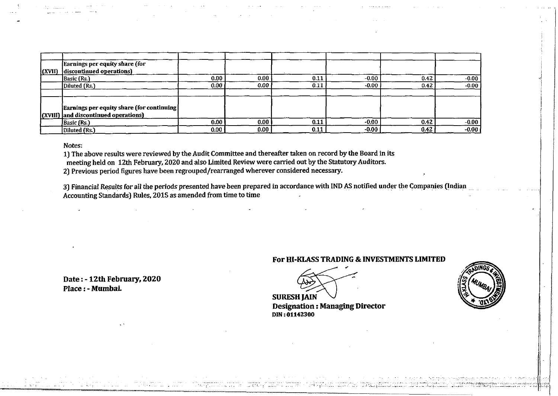|                | Earnings per equity share (for             |                   |      |      |         |      |         |
|----------------|--------------------------------------------|-------------------|------|------|---------|------|---------|
| $\vert$ (XVII) | discontinued operations)                   |                   |      |      |         |      |         |
|                | Basic (Rs.)                                | 0.00 <sub>1</sub> | 0.00 | 0.11 | $-0.00$ | 0.42 | $-0.00$ |
|                | Diluted (Rs.)                              | 0.00              | 0.00 | 0.11 | $-0.00$ | 0.42 | $-0.00$ |
|                |                                            |                   |      |      |         |      |         |
|                |                                            |                   |      |      |         |      |         |
|                | Earnings per equity share (for continuing) |                   |      |      |         |      |         |
|                | (XVIII) and discontinued operations)       |                   |      |      |         |      |         |
|                | Basic (Rs.)                                | 0.00              | 0.00 | 0.11 | $-0.00$ | 0.42 | $-0.00$ |
|                | Diluted (Rs.)                              | 0.00              | 0.00 | 0.11 | $-0.00$ | 0.42 | $-0.00$ |

Notes:

1) The above results were reviewed by the Audit Committee and thereafter taken on record by the Board in its

meeting held on 12th February, 2020 and also Limited Review were carried out by the Statutory Auditors.

2) Previous period figures have been regrouped/rearranged wherever considered necessary.

3) Financial Results for all the periods presented have been prepared in accordance with IND AS notified under the Companies (Indian Accounting Standards) Rules, 2015 as amended from time to time

**Date** : - **12th February, <sup>2020</sup> Place** : - **Mumbai** 

## **For HI-KLASS TRADING** & **INVESTMENTS LIMITED**

**Designation** : **Managing Director DIN** : **6l142300**